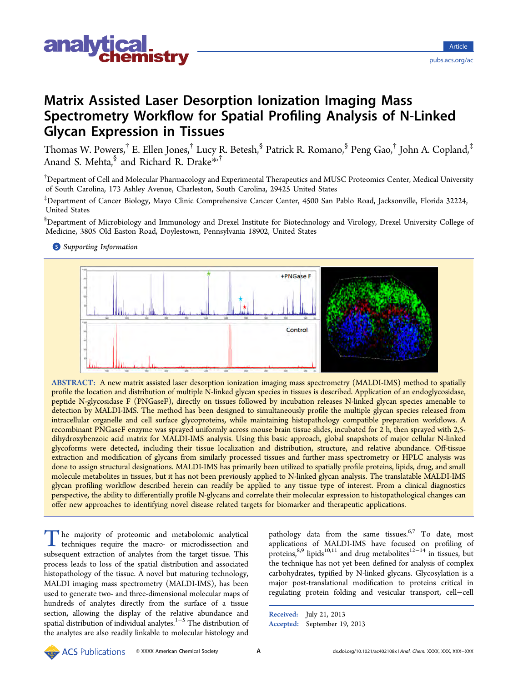

# Matrix Assisted Laser Desorption Ionization Imaging Mass Spectrometry Workflow for Spatial Profiling Analysis of N‑Linked Glycan Expression in Tissues

Thomas W. Powers,† E. Ellen Jones,† Lucy R. Betesh,§ Patrick R. Romano,§ Peng Gao,† John A. Copland,‡ Anand S. Mehta,§ and Richard R. Drake[\\*](#page-7-0),†

 $^\dagger$ Department of Cell and Molecular Pharmacology and Experimental Therapeutics and MUSC Proteomics Center, Medical University of South Carolina, 173 Ashley Avenue, Charleston, South Carolina, 29425 United States

‡ Department of Cancer Biology, Mayo Clinic Comprehensive Cancer Center, 4500 San Pablo Road, Jacksonville, Florida 32224, United States

 $^{\$}$ Department of Microbiology and Immunology and Drexel Institute for Biotechnology and Virology, Drexel University College of Medicine, 3805 Old Easton Road, Doylestown, Pennsylvania 18902, United States

## **S** [Supporting Information](#page-7-0)



ABSTRACT: A new matrix assisted laser desorption ionization imaging mass spectrometry (MALDI-IMS) method to spatially profile the location and distribution of multiple N-linked glycan species in tissues is described. Application of an endoglycosidase, peptide N-glycosidase F (PNGaseF), directly on tissues followed by incubation releases N-linked glycan species amenable to detection by MALDI-IMS. The method has been designed to simultaneously profile the multiple glycan species released from intracellular organelle and cell surface glycoproteins, while maintaining histopathology compatible preparation workflows. A recombinant PNGaseF enzyme was sprayed uniformly across mouse brain tissue slides, incubated for 2 h, then sprayed with 2,5 dihydroxybenzoic acid matrix for MALDI-IMS analysis. Using this basic approach, global snapshots of major cellular N-linked glycoforms were detected, including their tissue localization and distribution, structure, and relative abundance. Off-tissue extraction and modification of glycans from similarly processed tissues and further mass spectrometry or HPLC analysis was done to assign structural designations. MALDI-IMS has primarily been utilized to spatially profile proteins, lipids, drug, and small molecule metabolites in tissues, but it has not been previously applied to N-linked glycan analysis. The translatable MALDI-IMS glycan profiling workflow described herein can readily be applied to any tissue type of interest. From a clinical diagnostics perspective, the ability to differentially profile N-glycans and correlate their molecular expression to histopathological changes can offer new approaches to identifying novel disease related targets for biomarker and therapeutic applications.

The majority of proteomic and metabolomic analytical<br>techniques require the macro- or microdissection and<br>makes require the macro- or microdissection and subsequent extraction of analytes from the target tissue. This process leads to loss of the spatial distribution and associated histopathology of the tissue. A novel but maturing technology, MALDI imaging mass spectrometry (MALDI-IMS), has been used to generate two- and three-dimensional molecular maps of hundreds of analytes directly from the surface of a tissue section, allowing the display of the relative abundance and spatial distribution of individual analytes.<sup>[1](#page-7-0)−[5](#page-7-0)</sup> The distribution of the analytes are also readily linkable to molecular histology and

pathology data from the same tissues. $67$  $67$  To date, most applications of MALDI-IMS have focused on profiling of proteins,<sup>[8,9](#page-7-0)</sup> lipids<sup>10,[11](#page-7-0)</sup> and drug metabolites<sup>[12](#page-7-0)−[14](#page-7-0)</sup> in tissues, but the technique has not yet been defined for analysis of complex carbohydrates, typified by N-linked glycans. Glycosylation is a major post-translational modification to proteins critical in regulating protein folding and vesicular transport, cell−cell

Received: July 21, 2013 Accepted: September 19, 2013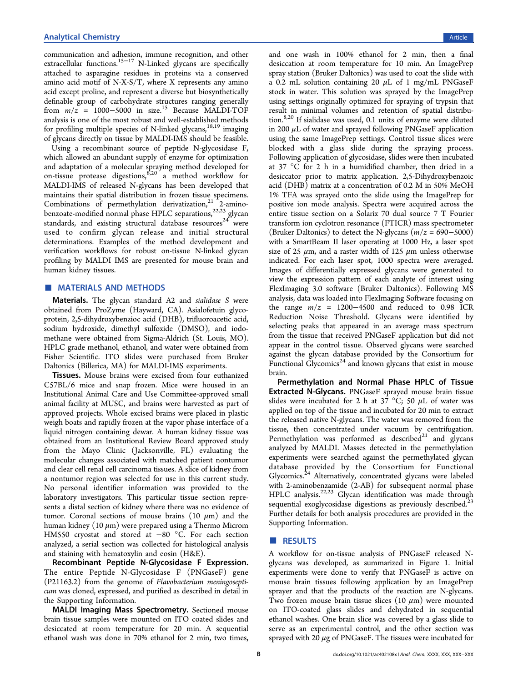communication and adhesion, immune recognition, and other extracellular functions.<sup>[15](#page-7-0)−[17](#page-7-0)</sup> N-Linked glycans are specifically attached to asparagine residues in proteins via a conserved amino acid motif of N-X-S/T, where X represents any amino acid except proline, and represent a diverse but biosynthetically definable group of carbohydrate structures ranging generally from  $m/z = 1000 - 5000$  in size.<sup>[15](#page-7-0)</sup> Because MALDI-TOF analysis is one of the most robust and well-established methods for profiling multiple species of N-linked glycans, $18,19$  imaging of glycans directly on tissue by MALDI-IMS should be feasible.

Using a recombinant source of peptide N-glycosidase F, which allowed an abundant supply of enzyme for optimization and adaptation of a molecular spraying method developed for on-tissue protease digestions,  $s20$  a method workflow for MALDI-IMS of released N-glycans has been developed that maintains their spatial distribution in frozen tissue specimens. Combinations of permethylation derivatization,  $2\frac{1}{2}$  2-amino-benzoate-modified normal phase HPLC separations,<sup>[22](#page-7-0),[23](#page-7-0)</sup> glycan standards, and existing structural database resources<sup>[24](#page-7-0)</sup> were used to confirm glycan release and initial structural determinations. Examples of the method development and verification workflows for robust on-tissue N-linked glycan profiling by MALDI IMS are presented for mouse brain and human kidney tissues.

#### ■ MATERIALS AND METHODS

Materials. The glycan standard A2 and sialidase S were obtained from ProZyme (Hayward, CA). Asialofetuin glycoprotein, 2,5-dihydroxybenzioc acid (DHB), trifluoroacetic acid, sodium hydroxide, dimethyl sulfoxide (DMSO), and iodomethane were obtained from Sigma-Aldrich (St. Louis, MO). HPLC grade methanol, ethanol, and water were obtained from Fisher Scientific. ITO slides were purchased from Bruker Daltonics (Billerica, MA) for MALDI-IMS experiments.

Tissues. Mouse brains were excised from four euthanized C57BL/6 mice and snap frozen. Mice were housed in an Institutional Animal Care and Use Committee-approved small animal facility at MUSC, and brains were harvested as part of approved projects. Whole excised brains were placed in plastic weigh boats and rapidly frozen at the vapor phase interface of a liquid nitrogen containing dewar. A human kidney tissue was obtained from an Institutional Review Board approved study from the Mayo Clinic (Jacksonville, FL) evaluating the molecular changes associated with matched patient nontumor and clear cell renal cell carcinoma tissues. A slice of kidney from a nontumor region was selected for use in this current study. No personal identifier information was provided to the laboratory investigators. This particular tissue section represents a distal section of kidney where there was no evidence of tumor. Coronal sections of mouse brains  $(10 \mu m)$  and the human kidney (10  $\mu$ m) were prepared using a Thermo Microm HM550 cryostat and stored at −80 °C. For each section analyzed, a serial section was collected for histological analysis and staining with hematoxylin and eosin (H&E).

Recombinant Peptide N-Glycosidase F Expression. The entire Peptide N-Glycosidase F (PNGaseF) gene (P21163.2) from the genome of Flavobacterium meningosepticum was cloned, expressed, and purified as described in detail in the [Supporting Information.](#page-7-0)

MALDI Imaging Mass Spectrometry. Sectioned mouse brain tissue samples were mounted on ITO coated slides and desiccated at room temperature for 20 min. A sequential ethanol wash was done in 70% ethanol for 2 min, two times, and one wash in 100% ethanol for 2 min, then a final desiccation at room temperature for 10 min. An ImagePrep spray station (Bruker Daltonics) was used to coat the slide with a 0.2 mL solution containing 20  $\mu$ L of 1 mg/mL PNGaseF stock in water. This solution was sprayed by the ImagePrep using settings originally optimized for spraying of trypsin that result in minimal volumes and retention of spatial distribution.[8](#page-7-0),[20](#page-7-0) If sialidase was used, 0.1 units of enzyme were diluted in 200  $\mu$ L of water and sprayed following PNGaseF application using the same ImagePrep settings. Control tissue slices were blocked with a glass slide during the spraying process. Following application of glycosidase, slides were then incubated at 37 °C for 2 h in a humidified chamber, then dried in a desiccator prior to matrix application. 2,5-Dihydroxybenzoic acid (DHB) matrix at a concentration of 0.2 M in 50% MeOH 1% TFA was sprayed onto the slide using the ImagePrep for positive ion mode analysis. Spectra were acquired across the entire tissue section on a Solarix 70 dual source 7 T Fourier transform ion cyclotron resonance (FTICR) mass spectrometer (Bruker Daltonics) to detect the N-glycans  $(m/z = 690-5000)$ with a SmartBeam II laser operating at 1000 Hz, a laser spot size of 25  $\mu$ m, and a raster width of 125  $\mu$ m unless otherwise indicated. For each laser spot, 1000 spectra were averaged. Images of differentially expressed glycans were generated to view the expression pattern of each analyte of interest using FlexImaging 3.0 software (Bruker Daltonics). Following MS analysis, data was loaded into FlexImaging Software focusing on the range  $m/z = 1200-4500$  and reduced to 0.98 ICR Reduction Noise Threshold. Glycans were identified by selecting peaks that appeared in an average mass spectrum from the tissue that received PNGaseF application but did not appear in the control tissue. Observed glycans were searched against the glycan database provided by the Consortium for Functional Glycomics<sup>[24](#page-7-0)</sup> and known glycans that exist in mouse brain.

Permethylation and Normal Phase HPLC of Tissue Extracted N-Glycans. PNGaseF sprayed mouse brain tissue slides were incubated for 2 h at 37 °C; 50  $\mu$ L of water was applied on top of the tissue and incubated for 20 min to extract the released native N-glycans. The water was removed from the tissue, then concentrated under vacuum by centrifugation. Permethylation was performed as described $21$  and glycans analyzed by MALDI. Masses detected in the permethylation experiments were searched against the permethylated glycan database provided by the Consortium for Functional Glycomics.<sup>[24](#page-7-0)</sup> Alternatively, concentrated glycans were labeled with 2-aminobenzamide (2-AB) for subsequent normal phase HPLC analysis.<sup>[22,23](#page-7-0)</sup> Glycan identification was made through sequential exoglycosidase digestions as previously described. $^{23}$  $^{23}$  $^{23}$ Further details for both analysis procedures are provided in the [Supporting Information](#page-7-0).

## ■ RESULTS

A workflow for on-tissue analysis of PNGaseF released Nglycans was developed, as summarized in Figure [1.](#page-2-0) Initial experiments were done to verify that PNGaseF is active on mouse brain tissues following application by an ImagePrep sprayer and that the products of the reaction are N-glycans. Two frozen mouse brain tissue slices  $(10 \ \mu m)$  were mounted on ITO-coated glass slides and dehydrated in sequential ethanol washes. One brain slice was covered by a glass slide to serve as an experimental control, and the other section was sprayed with 20  $\mu$ g of PNGaseF. The tissues were incubated for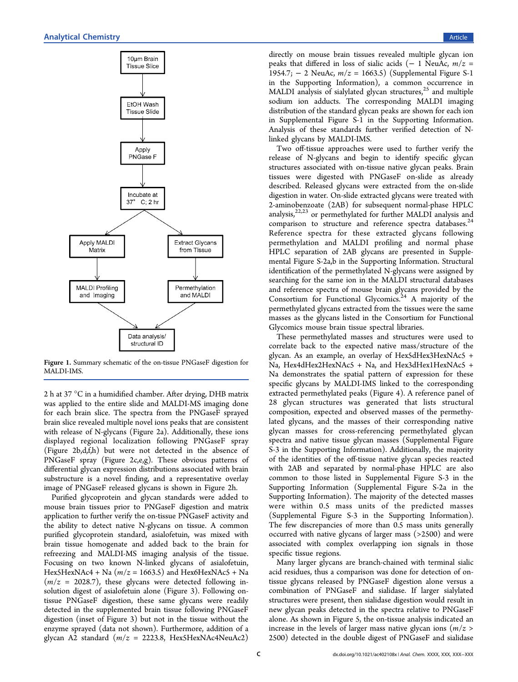<span id="page-2-0"></span>

Figure 1. Summary schematic of the on-tissue PNGaseF digestion for MALDI-IMS.

2 h at 37 °C in a humidified chamber. After drying, DHB matrix was applied to the entire slide and MALDI-MS imaging done for each brain slice. The spectra from the PNGaseF sprayed brain slice revealed multiple novel ions peaks that are consistent with release of N-glycans (Figure [2](#page-3-0)a). Additionally, these ions displayed regional localization following PNGaseF spray (Figure [2b](#page-3-0),d,f,h) but were not detected in the absence of PNGaseF spray (Figure [2](#page-3-0)c,e,g). These obvious patterns of differential glycan expression distributions associated with brain substructure is a novel finding, and a representative overlay image of PNGaseF released glycans is shown in Figure [2h](#page-3-0).

Purified glycoprotein and glycan standards were added to mouse brain tissues prior to PNGaseF digestion and matrix application to further verify the on-tissue PNGaseF activity and the ability to detect native N-glycans on tissue. A common purified glycoprotein standard, asialofetuin, was mixed with brain tissue homogenate and added back to the brain for refreezing and MALDI-MS imaging analysis of the tissue. Focusing on two known N-linked glycans of asialofetuin, Hex5HexNAc4 + Na  $(m/z = 1663.5)$  and Hex6HexNAc5 + Na  $(m/z = 2028.7)$ , these glycans were detected following insolution digest of asialofetuin alone (Figure [3](#page-3-0)). Following ontissue PNGaseF digestion, these same glycans were readily detected in the supplemented brain tissue following PNGaseF digestion (inset of Figure [3](#page-3-0)) but not in the tissue without the enzyme sprayed (data not shown). Furthermore, addition of a glycan A2 standard  $(m/z = 2223.8,$  Hex5HexNAc4NeuAc2)

directly on mouse brain tissues revealed multiple glycan ion peaks that differed in loss of sialic acids (− 1 NeuAc,  $m/z =$ 1954.7;  $-$  2 NeuAc,  $m/z = 1663.5$ ) (Supplemental Figure S-1 in the [Supporting Information\)](#page-7-0), a common occurrence in MALDI analysis of sialylated glycan structures, $25$  and multiple sodium ion adducts. The corresponding MALDI imaging distribution of the standard glycan peaks are shown for each ion in Supplemental Figure S-1 in the [Supporting Information.](#page-7-0) Analysis of these standards further verified detection of Nlinked glycans by MALDI-IMS.

Two off-tissue approaches were used to further verify the release of N-glycans and begin to identify specific glycan structures associated with on-tissue native glycan peaks. Brain tissues were digested with PNGaseF on-slide as already described. Released glycans were extracted from the on-slide digestion in water. On-slide extracted glycans were treated with 2-aminobenzoate (2AB) for subsequent normal-phase HPLC analysis, $22,23$  $22,23$  $22,23$  or permethylated for further MALDI analysis and comparison to structure and reference spectra databases.<sup>[24](#page-7-0)</sup> Reference spectra for these extracted glycans following permethylation and MALDI profiling and normal phase HPLC separation of 2AB glycans are presented in Supplemental Figure S-2a,b in the [Supporting Information.](#page-7-0) Structural identification of the permethylated N-glycans were assigned by searching for the same ion in the MALDI structural databases and reference spectra of mouse brain glycans provided by the Consortium for Functional Glycomics.[24](#page-7-0) A majority of the permethylated glycans extracted from the tissues were the same masses as the glycans listed in the Consortium for Functional Glycomics mouse brain tissue spectral libraries.

These permethylated masses and structures were used to correlate back to the expected native mass/structure of the glycan. As an example, an overlay of Hex5dHex3HexNAc5 + Na, Hex4dHex2HexNAc5 + Na, and Hex3dHex1HexNAc5 + Na demonstrates the spatial pattern of expression for these specific glycans by MALDI-IMS linked to the corresponding extracted permethylated peaks (Figure [4](#page-4-0)). A reference panel of 28 glycan structures was generated that lists structural composition, expected and observed masses of the permethylated glycans, and the masses of their corresponding native glycan masses for cross-referencing permethylated glycan spectra and native tissue glycan masses (Supplemental Figure S-3 in the [Supporting Information](#page-7-0)). Additionally, the majority of the identities of the off-tissue native glycan species reacted with 2AB and separated by normal-phase HPLC are also common to those listed in Supplemental Figure S-3 in the [Supporting Information](#page-7-0) (Supplemental Figure S-2a in the [Supporting Information](#page-7-0)). The majority of the detected masses were within 0.5 mass units of the predicted masses (Supplemental Figure S-3 in the [Supporting Information\)](#page-7-0). The few discrepancies of more than 0.5 mass units generally occurred with native glycans of larger mass (>2500) and were associated with complex overlapping ion signals in those specific tissue regions.

Many larger glycans are branch-chained with terminal sialic acid residues, thus a comparison was done for detection of ontissue glycans released by PNGaseF digestion alone versus a combination of PNGaseF and sialidase. If larger sialylated structures were present, then sialidase digestion would result in new glycan peaks detected in the spectra relative to PNGaseF alone. As shown in Figure [5,](#page-5-0) the on-tissue analysis indicated an increase in the levels of larger mass native glycan ions  $(m/z >$ 2500) detected in the double digest of PNGaseF and sialidase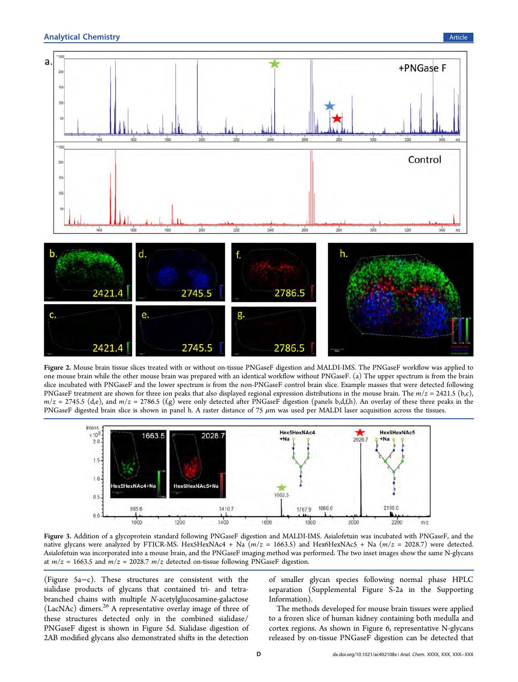<span id="page-3-0"></span>

Figure 2. Mouse brain tissue slices treated with or without on-tissue PNGaseF digestion and MALDI-IMS. The PNGaseF workflow was applied to one mouse brain while the other mouse brain was prepared with an identical workflow without PNGaseF. (a) The upper spectrum is from the brain slice incubated with PNGaseF and the lower spectrum is from the non-PNGaseF control brain slice. Example masses that were detected following PNGaseF treatment are shown for three ion peaks that also displayed regional expression distributions in the mouse brain. The  $m/z = 2421.5$  (b,c),  $m/z = 2745.5$  (d,e), and  $m/z = 2786.5$  (f,g) were only detected after PNGaseF digestion (panels b,d,f,h). An overlay of these three peaks in the PNGaseF digested brain slice is shown in panel h. A raster distance of 75 μm was used per MALDI laser acquisition across the tissues.



Figure 3. Addition of a glycoprotein standard following PNGaseF digestion and MALDI-IMS. Asialofetuin was incubated with PNGaseF, and the native glycans were analyzed by FTICR-MS. Hex5HexNAc4 + Na  $(m/z = 1663.5)$  and Hex6HexNAc5 + Na  $(m/z = 2028.7)$  were detected. Asialofetuin was incorporated into a mouse brain, and the PNGaseF imaging method was performed. The two inset images show the same N-glycans at  $m/z = 1663.5$  and  $m/z = 2028.7$   $m/z$  detected on-tissue following PNGaseF digestion.

(Figure [5](#page-5-0)a−c). These structures are consistent with the sialidase products of glycans that contained tri- and tetrabranched chains with multiple N-acetylglucosamine-galactose (LacNAc) dimers.[26](#page-7-0) A representative overlay image of three of these structures detected only in the combined sialidase/ PNGaseF digest is shown in Figure [5](#page-5-0)d. Sialidase digestion of 2AB modified glycans also demonstrated shifts in the detection

of smaller glycan species following normal phase HPLC separation (Supplemental Figure S-2a in the [Supporting](#page-7-0) [Information\)](#page-7-0).

The methods developed for mouse brain tissues were applied to a frozen slice of human kidney containing both medulla and cortex regions. As shown in Figure [6](#page-6-0), representative N-glycans released by on-tissue PNGaseF digestion can be detected that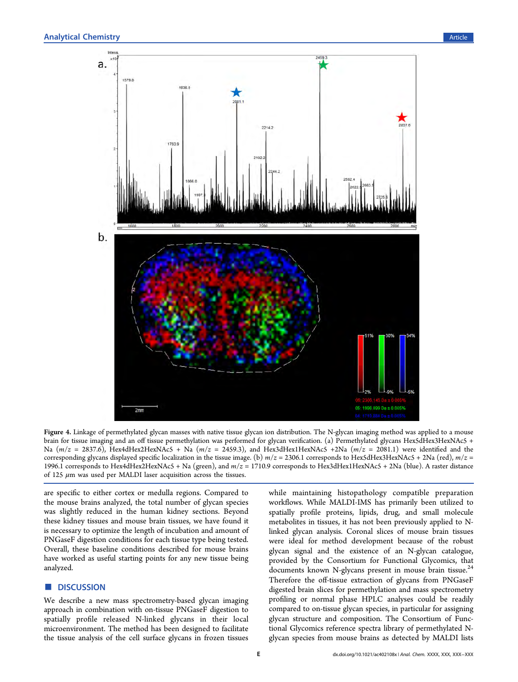<span id="page-4-0"></span>

Figure 4. Linkage of permethylated glycan masses with native tissue glycan ion distribution. The N-glycan imaging method was applied to a mouse brain for tissue imaging and an off tissue permethylation was performed for glycan verification. (a) Permethylated glycans Hex5dHex3HexNAc5 + Na  $(m/z = 2837.6)$ , Hex4dHex2HexNAc5 + Na  $(m/z = 2459.3)$ , and Hex3dHex1HexNAc5 +2Na  $(m/z = 2081.1)$  were identified and the corresponding glycans displayed specific localization in the tissue image. (b)  $m/z = 2306.1$  corresponds to Hex5dHex3HexNAc5 + 2Na (red),  $m/z = 2306.1$ 1996.1 corresponds to Hex4dHex2HexNAc5 + Na (green), and  $m/z = 1710.9$  corresponds to Hex3dHex1HexNAc5 + 2Na (blue). A raster distance of 125  $\mu$ m was used per MALDI laser acquisition across the tissues.

are specific to either cortex or medulla regions. Compared to the mouse brains analyzed, the total number of glycan species was slightly reduced in the human kidney sections. Beyond these kidney tissues and mouse brain tissues, we have found it is necessary to optimize the length of incubation and amount of PNGaseF digestion conditions for each tissue type being tested. Overall, these baseline conditions described for mouse brains have worked as useful starting points for any new tissue being analyzed.

### ■ DISCUSSION

We describe a new mass spectrometry-based glycan imaging approach in combination with on-tissue PNGaseF digestion to spatially profile released N-linked glycans in their local microenvironment. The method has been designed to facilitate the tissue analysis of the cell surface glycans in frozen tissues

while maintaining histopathology compatible preparation workflows. While MALDI-IMS has primarily been utilized to spatially profile proteins, lipids, drug, and small molecule metabolites in tissues, it has not been previously applied to Nlinked glycan analysis. Coronal slices of mouse brain tissues were ideal for method development because of the robust glycan signal and the existence of an N-glycan catalogue, provided by the Consortium for Functional Glycomics, that documents known N-glycans present in mouse brain tissue.<sup>[24](#page-7-0)</sup> Therefore the off-tissue extraction of glycans from PNGaseF digested brain slices for permethylation and mass spectrometry profiling or normal phase HPLC analyses could be readily compared to on-tissue glycan species, in particular for assigning glycan structure and composition. The Consortium of Functional Glycomics reference spectra library of permethylated Nglycan species from mouse brains as detected by MALDI lists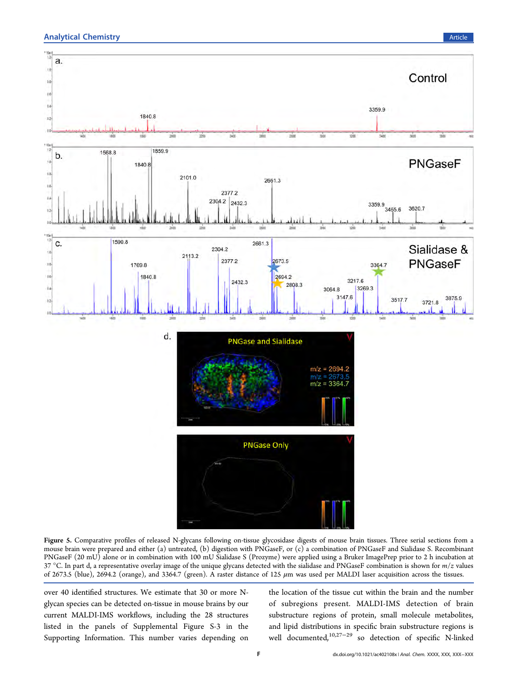<span id="page-5-0"></span>

Figure 5. Comparative profiles of released N-glycans following on-tissue glycosidase digests of mouse brain tissues. Three serial sections from a mouse brain were prepared and either (a) untreated, (b) digestion with PNGaseF, or (c) a combination of PNGaseF and Sialidase S. Recombinant PNGaseF (20 mU) alone or in combination with 100 mU Sialidase S (Prozyme) were applied using a Bruker ImagePrep prior to 2 h incubation at 37 °C. In part d, a representative overlay image of the unique glycans detected with the sialidase and PNGaseF combination is shown for  $m/z$  values of 2673.5 (blue), 2694.2 (orange), and 3364.7 (green). A raster distance of 125 μm was used per MALDI laser acquisition across the tissues.

over 40 identified structures. We estimate that 30 or more Nglycan species can be detected on-tissue in mouse brains by our current MALDI-IMS workflows, including the 28 structures listed in the panels of Supplemental Figure S-3 in the [Supporting Information.](#page-7-0) This number varies depending on the location of the tissue cut within the brain and the number of subregions present. MALDI-IMS detection of brain substructure regions of protein, small molecule metabolites, and lipid distributions in specific brain substructure regions is well documented,<sup>[10,27](#page-7-0)-[29](#page-7-0)</sup> so detection of specific N-linked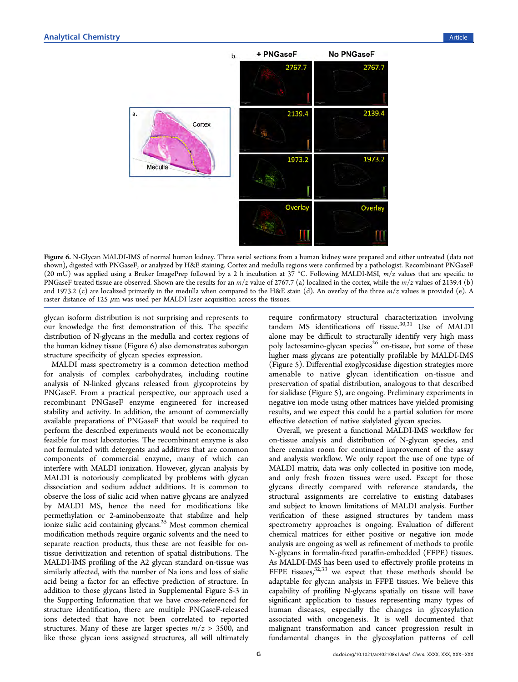<span id="page-6-0"></span>

Figure 6. N-Glycan MALDI-IMS of normal human kidney. Three serial sections from a human kidney were prepared and either untreated (data not shown), digested with PNGaseF, or analyzed by H&E staining. Cortex and medulla regions were confirmed by a pathologist. Recombinant PNGaseF (20 mU) was applied using a Bruker ImagePrep followed by a 2 h incubation at 37 °C. Following MALDI-MSI, m/z values that are specific to PNGaseF treated tissue are observed. Shown are the results for an  $m/z$  value of 2767.7 (a) localized in the cortex, while the  $m/z$  values of 2139.4 (b) and 1973.2 (c) are localized primarily in the medulla when compared to the H&E stain (d). An overlay of the three  $m/z$  values is provided (e). A raster distance of 125  $\mu$ m was used per MALDI laser acquisition across the tissues.

glycan isoform distribution is not surprising and represents to our knowledge the first demonstration of this. The specific distribution of N-glycans in the medulla and cortex regions of the human kidney tissue (Figure 6) also demonstrates suborgan structure specificity of glycan species expression.

MALDI mass spectrometry is a common detection method for analysis of complex carbohydrates, including routine analysis of N-linked glycans released from glycoproteins by PNGaseF. From a practical perspective, our approach used a recombinant PNGaseF enzyme engineered for increased stability and activity. In addition, the amount of commercially available preparations of PNGaseF that would be required to perform the described experiments would not be economically feasible for most laboratories. The recombinant enzyme is also not formulated with detergents and additives that are common components of commercial enzyme, many of which can interfere with MALDI ionization. However, glycan analysis by MALDI is notoriously complicated by problems with glycan dissociation and sodium adduct additions. It is common to observe the loss of sialic acid when native glycans are analyzed by MALDI MS, hence the need for modifications like permethylation or 2-aminobenzoate that stabilize and help ionize sialic acid containing glycans.<sup>[25](#page-7-0)</sup> Most common chemical modification methods require organic solvents and the need to separate reaction products, thus these are not feasible for ontissue derivitization and retention of spatial distributions. The MALDI-IMS profiling of the A2 glycan standard on-tissue was similarly affected, with the number of Na ions and loss of sialic acid being a factor for an effective prediction of structure. In addition to those glycans listed in Supplemental Figure S-3 in the [Supporting Information](#page-7-0) that we have cross-referenced for structure identification, there are multiple PNGaseF-released ions detected that have not been correlated to reported structures. Many of these are larger species  $m/z > 3500$ , and like those glycan ions assigned structures, all will ultimately

require confirmatory structural characterization involving tandem MS identifications off tissue.[30,31](#page-7-0) Use of MALDI alone may be difficult to structurally identify very high mass poly lactosamino-glycan species<sup>[26](#page-7-0)</sup> on-tissue, but some of these higher mass glycans are potentially profilable by MALDI-IMS (Figure [5\)](#page-5-0). Differential exoglycosidase digestion strategies more amenable to native glycan identification on-tissue and preservation of spatial distribution, analogous to that described for sialidase (Figure [5\)](#page-5-0), are ongoing. Preliminary experiments in negative ion mode using other matrices have yielded promising results, and we expect this could be a partial solution for more effective detection of native sialylated glycan species.

Overall, we present a functional MALDI-IMS workflow for on-tissue analysis and distribution of N-glycan species, and there remains room for continued improvement of the assay and analysis workflow. We only report the use of one type of MALDI matrix, data was only collected in positive ion mode, and only fresh frozen tissues were used. Except for those glycans directly compared with reference standards, the structural assignments are correlative to existing databases and subject to known limitations of MALDI analysis. Further verification of these assigned structures by tandem mass spectrometry approaches is ongoing. Evaluation of different chemical matrices for either positive or negative ion mode analysis are ongoing as well as refinement of methods to profile N-glycans in formalin-fixed paraffin-embedded (FFPE) tissues. As MALDI-IMS has been used to effectively profile proteins in FFPE tissues,<sup>[32,33](#page-7-0)</sup> we expect that these methods should be adaptable for glycan analysis in FFPE tissues. We believe this capability of profiling N-glycans spatially on tissue will have significant application to tissues representing many types of human diseases, especially the changes in glycosylation associated with oncogenesis. It is well documented that malignant transformation and cancer progression result in fundamental changes in the glycosylation patterns of cell